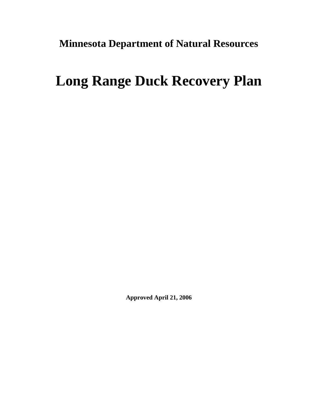**Minnesota Department of Natural Resources** 

# **Long Range Duck Recovery Plan**

**Approved April 21, 2006**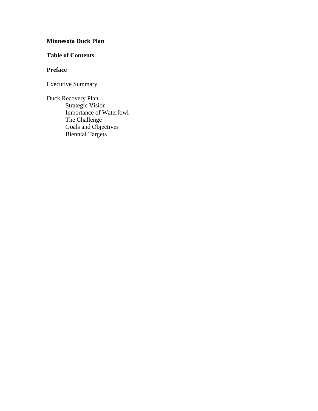## **Minnesota Duck Plan**

### **Table of Contents**

### **Preface**

Executive Summary

Duck Recovery Plan Strategic Vision Importance of Waterfowl The Challenge Goals and Objectives Biennial Targets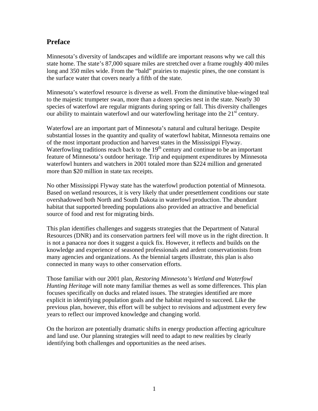## **Preface**

Minnesota's diversity of landscapes and wildlife are important reasons why we call this state home. The state's 87,000 square miles are stretched over a frame roughly 400 miles long and 350 miles wide. From the "bald" prairies to majestic pines, the one constant is the surface water that covers nearly a fifth of the state.

Minnesota's waterfowl resource is diverse as well. From the diminutive blue-winged teal to the majestic trumpeter swan, more than a dozen species nest in the state. Nearly 30 species of waterfowl are regular migrants during spring or fall. This diversity challenges our ability to maintain waterfowl and our waterfowling heritage into the  $21<sup>st</sup>$  century.

Waterfowl are an important part of Minnesota's natural and cultural heritage. Despite substantial losses in the quantity and quality of waterfowl habitat, Minnesota remains one of the most important production and harvest states in the Mississippi Flyway. Waterfowling traditions reach back to the  $19<sup>th</sup>$  century and continue to be an important feature of Minnesota's outdoor heritage. Trip and equipment expenditures by Minnesota waterfowl hunters and watchers in 2001 totaled more than \$224 million and generated more than \$20 million in state tax receipts.

No other Mississippi Flyway state has the waterfowl production potential of Minnesota. Based on wetland resources, it is very likely that under presettlement conditions our state overshadowed both North and South Dakota in waterfowl production. The abundant habitat that supported breeding populations also provided an attractive and beneficial source of food and rest for migrating birds.

This plan identifies challenges and suggests strategies that the Department of Natural Resources (DNR) and its conservation partners feel will move us in the right direction. It is not a panacea nor does it suggest a quick fix. However, it reflects and builds on the knowledge and experience of seasoned professionals and ardent conservationists from many agencies and organizations. As the biennial targets illustrate, this plan is also connected in many ways to other conservation efforts.

Those familiar with our 2001 plan, *Restoring Minnesota's Wetland and Waterfowl Hunting Heritage* will note many familiar themes as well as some differences. This plan focuses specifically on ducks and related issues. The strategies identified are more explicit in identifying population goals and the habitat required to succeed. Like the previous plan, however, this effort will be subject to revisions and adjustment every few years to reflect our improved knowledge and changing world.

On the horizon are potentially dramatic shifts in energy production affecting agriculture and land use. Our planning strategies will need to adapt to new realities by clearly identifying both challenges and opportunities as the need arises.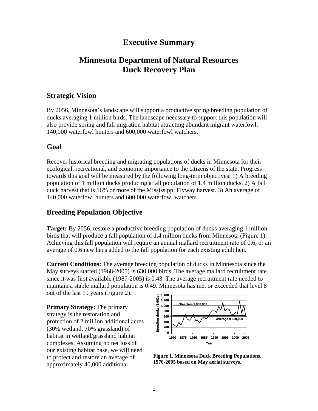## **Executive Summary**

## **Minnesota Department of Natural Resources Duck Recovery Plan**

### **Strategic Vision**

By 2056, Minnesota's landscape will support a productive spring breeding population of ducks averaging 1 million birds. The landscape necessary to support this population will also provide spring and fall migration habitat attracting abundant migrant waterfowl, 140,000 waterfowl hunters and 600,000 waterfowl watchers.

### **Goal**

Recover historical breeding and migrating populations of ducks in Minnesota for their ecological, recreational, and economic importance to the citizens of the state. Progress towards this goal will be measured by the following long-term objectives: 1) A breeding population of 1 million ducks producing a fall population of 1.4 million ducks. 2) A fall duck harvest that is 16% or more of the Mississippi Flyway harvest. 3) An average of 140,000 waterfowl hunters and 600,000 waterfowl watchers.

### **Breeding Population Objective**

**Target:** By 2056, restore a productive breeding population of ducks averaging 1 million birds that will produce a fall population of 1.4 million ducks from Minnesota (Figure 1). Achieving this fall population will require an annual mallard recruitment rate of 0.6, or an average of 0.6 new hens added to the fall population for each existing adult hen.

**Current Conditions:** The average breeding population of ducks in Minnesota since the May surveys started (1968-2005) is 630,000 birds. The average mallard recruitment rate since it was first available (1987-2005) is 0.43. The average recruitment rate needed to maintain a stable mallard population is 0 .49. Minnesota has met or exceeded that level 8 out of the last 19 years (Figure 2).

**Primary St rategy:** The primary strategy is the restoration and protection of 2 million additional acres  $(30\% \text{ wetland}, 70\% \text{ grassland})$  of complexes. Assuming no net loss of our existing habitat base, we will need habitat in wetland/grassland habitat to protect and restore an average of approximately 40,000 additional



**Figure 1. Minnesota Duck Breeding Populations, 1970-2005 based on May aerial surveys.**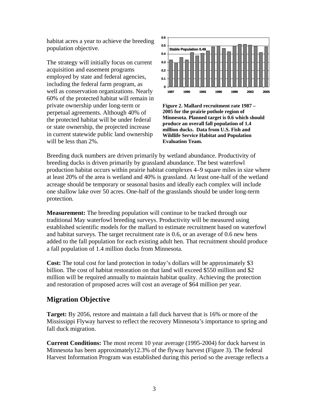habitat acres a year to achieve the br eeding population objective.

The strategy will initially focus on current acquisition and easement programs including the federal farm program, as well as conservation organizations. Nearly 60% of the protected habitat will remain in the protected habitat will be under federal employed by state and federal agencies, private ownership under long-term or perpetual agreements. Although 40% of or state ownership, the projected increase in current statewide public land ownership will be less than 2%.



**Figure 2. Mallard recruitment rate 1987 – 2005 for the prairie pothole region of Minnesota. Planned target is 0.6 which should produce an overall fall population of 1.4 million ducks. Data from U.S. Fish and Wildlife Service Habitat and Population Evaluation Team.**

Breeding duck numbers are driven primarily by wetland abundance. Productivity of breeding ducks is driven primarily by grassland abundance. The best waterfowl production habitat occurs within prairie habitat complexes 4–9 square miles in size where at least 20% of the area is wetland and 40% is grassland. At least one-half of the wetland acreage should be temporary or seasonal basins and ideally each complex will include one shallow lake over 50 acres. One-half of the grasslands should be under long-term protection.

**Measurement:** The breeding population will continue to be tracked through our traditional May waterfowl breeding surveys. Productivity will be measured using established scientific models for the mallard to estimate recruitment based on waterfowl and habitat surveys. The target recruitment rate is 0.6, or an average of 0.6 new hens added to the fall population for each existing adult hen. That recruitment should produce a fall population of 1.4 million ducks from Minnesota.

**Cost:** The total cost for land protection in today's dollars will be approximately \$3 billion. The cost of habitat restoration on that land will exceed \$550 million and \$2 million will be required annually to maintain habitat quality. Achieving the protection and restoration of proposed acres will cost an average of \$64 million per year.

### **Migration Objective**

Target: By 2056, restore and maintain a fall duck harvest that is 16% or more of the Mississippi Flyway harvest to reflect the recovery Minnesota's importance to spring and fall duck migration.

**Current Conditions:** The most recent 10 year average (1995-2004) for duck harvest in Minnesota has been approximately12.3% of the flyway harvest (Figure 3). The federal Harvest Information Program was established during this period so the average reflects a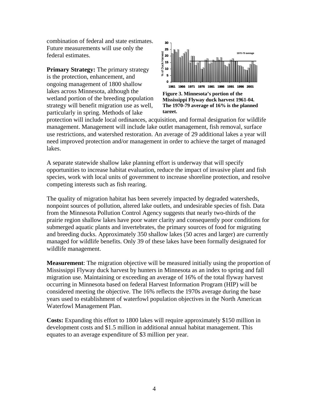combination of federal and state est imates. Future measurements will use only th e federal estimates.

**Primary Strategy:** The primary strategy is the protection, enhancement, and wetland portion of the breeding population strategy will benefit migration use as well, ongoing management of 1800 shallow lakes across Minnesota, although the particularly in spring. Methods of lake



protection will include local ordinances, acquisition, and formal designation for wildlife management. Management will include lake outlet management, fish removal, surface use restrictions, and watershed restoration. An average of 29 additional lakes a year will need improved protection and/or management in order to achieve the target of managed lakes.

A separate statewide shallow lake planning effort is underway that will specify opportunities to increase habitat evaluation, reduce the impact of invasive plant and fish species, work with local units of government to increase shoreline protection, and resolve competing interests such as fish rearing.

The quality of migration habitat has been severely impacted by degraded watersheds, prairie region shallow lakes have poor water clarity and consequently poor conditions for and breeding ducks. Approximately 350 shallow lakes (50 acres and larger) are currently nonpoint sources of pollution, altered lake outlets, and undesirable species of fish. Data from the Minnesota Pollution Control Agency suggests that nearly two-thirds of the submerged aquatic plants and invertebrates, the primary sources of food for migrating managed for wildlife benefits. Only 39 of these lakes have been formally designated for wildlife management.

**easurement**: The migration objective will be measured initially using the proportion of **M** Mississippi Flyway duck harvest by hunters in Minnesota as an index to spring and fall migration use. Maintaining or exceeding an average of 16% of the total flyway harvest occurring in Minnesota based on federal Harvest Information Program (HIP) will be considered meeting the objective. The 16% reflects the 1970s average during the base years used to establishment of waterfowl population objectives in the North American Waterfowl Management Plan.

**osts:** Expanding this effort to 1800 lakes will require approximately \$150 million in **C** development costs and \$1.5 million in additional annual habitat management. This equates to an average expenditure of \$3 million per year.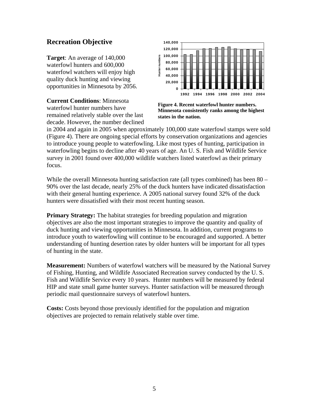## **Recreation Objective**

**Target**: An average of 140,000 waterfowl hunters and 600,000 waterfowl watchers will enjoy high quality duck hunting and viewing opportunities in Minnesota by 2056.

**Current Conditions**: Minnesota waterfowl hunter numbers have remained relatively stable over the last decade. However, the number declined



**Figure 4. Recent waterfowl hunter numbers. Minnesota consistently ranks among the highest states in the nation.**

in 2004 and again in 2005 when approximately 100,000 state waterfowl stamps were sold (Figure 4). There are ongoing special efforts by conservation organizations and agencies to introduce young people to waterfowling. Like most types of hunting, participation in waterfowling begins to decline after 40 years of age. An U. S. Fish and Wildlife Service survey in 2001 found over 400,000 wildlife watchers listed waterfowl as their primary focus.

While the overall Minnesota hunting satisfaction rate (all types combined) has been 80 – 90% over the last decade, nearly 25% of the duck hunters have indicated dissatisfaction with their general hunting experience. A 2005 national survey found 32% of the duck hunters were dissatisfied with their most recent hunting season.

**Primary Strategy:** The habitat strategies for breeding population and migration objectives are also the most important strategies to improve the quantity and quality of duck hunting and viewing opportunities in Minnesota. In addition, current programs to introduce youth to waterfowling will continue to be encouraged and supported. A better understanding of hunting desertion rates by older hunters will be important for all types of hunting in the state.

**Measurement:** Numbers of waterfowl watchers will be measured by the National Survey of Fishing, Hunting, and Wildlife Associated Recreation survey conducted by the U. S. Fish and Wildlife Service every 10 years. Hunter numbers will be measured by federal HIP and state small game hunter surveys. Hunter satisfaction will be measured through periodic mail questionnaire surveys of waterfowl hunters.

**Costs:** Costs beyond those previously identified for the population and migration objectives are projected to remain relatively stable over time.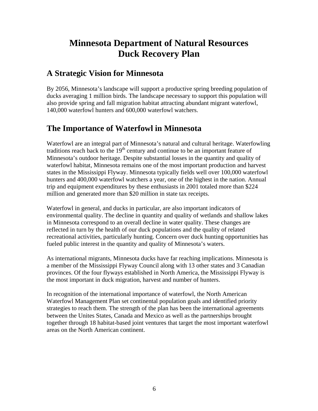## **Minnesota Department of Natural Resources Duck Recovery Plan**

## **A Strategic Vision for Minnesota**

By 2056, Minnesota's landscape will support a productive spring breeding population of ducks averaging 1 million birds. The landscape necessary to support this population will also provide spring and fall migration habitat attracting abundant migrant waterfowl, 140,000 waterfowl hunters and 600,000 waterfowl watchers.

## **The Importance of Waterfowl in Minnesota**

Waterfowl are an integral part of Minnesota's natural and cultural heritage. Waterfowling traditions reach back to the  $19<sup>th</sup>$  century and continue to be an important feature of Minnesota's outdoor heritage. Despite substantial losses in the quantity and quality of waterfowl habitat, Minnesota remains one of the most important production and harvest states in the Mississippi Flyway. Minnesota typically fields well over 100,000 waterfowl hunters and 400,000 waterfowl watchers a year, one of the highest in the nation. Annual trip and equipment expenditures by these enthusiasts in 2001 totaled more than \$224 million and generated more than \$20 million in state tax receipts.

Waterfowl in general, and ducks in particular, are also important indicators of environmental quality. The decline in quantity and quality of wetlands and shallow lakes in Minnesota correspond to an overall decline in water quality. These changes are reflected in turn by the health of our duck populations and the quality of related recreational activities, particularly hunting. Concern over duck hunting opportunities has fueled public interest in the quantity and quality of Minnesota's waters.

As international migrants, Minnesota ducks have far reaching implications. Minnesota is a member of the Mississippi Flyway Council along with 13 other states and 3 Canadian provinces. Of the four flyways established in North America, the Mississippi Flyway is the most important in duck migration, harvest and number of hunters.

In recognition of the international importance of waterfowl, the North American Waterfowl Management Plan set continental population goals and identified priority strategies to reach them. The strength of the plan has been the international agreements between the Unites States, Canada and Mexico as well as the partnerships brought together through 18 habitat-based joint ventures that target the most important waterfowl areas on the North American continent.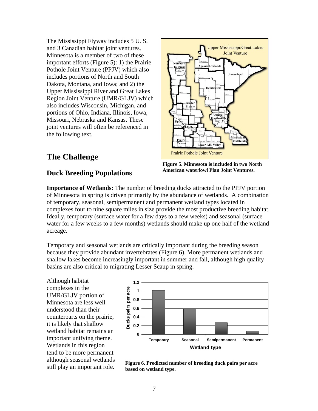The Mississippi Flyway includes 5 U. S. and 3 Canadian habitat joint ventures. Minnesota is a member of two of these important efforts (Figure 5): 1) the Prairie Pothole Joint Venture (PPJV) which also includes portions of North and South Dakota, Montana, and Iowa; and 2) the Upper Mississippi River and Great Lakes Region Joint Venture (UMR/GLJV) w hich also includes Wisconsin, Michigan, and portions of Ohio, Indiana, Illinois, Iowa , Missouri, Nebraska and Kansas. These joint ventures will often be referen ced in the following text.

## **The Challenge**

## **American waterfowl Plan Joint Ventures. Duck Breeding Populations**

**Importance of Wetlands:** The number of breeding ducks attracted to the PPJV portion of Minnesota in spring is driven primarily by the abundance of wetlands. A combination of temporary, seasonal, semipermanent and permanent wetland types located in complexes four to nine square miles in size provide the most productive breeding habitat. Ideally, temporary (surface water for a few days to a few weeks) and seasonal (surface water for a few weeks to a few months) wetlands should make up one half of the wetland acreage.

Temporary and seasonal wetlands are critically important during the breeding season because they provide abundant invertebrates (Figure 6). More permanent wetlands and shallow lakes become increasingly important in summer and fall, although high quality basins are also critical to migrating Lesser Scaup in spring.

Although habitat complexes in the UMR/GLJV portion of Minnesota are less well understood than their counterparts on the prairie, it is likely that shallow wetland habitat remains an important unifying theme. Wetlands in this region tend to be more permanent although seasonal wetlands still play an important role.



**Figure 6. Predicted number of breeding duck pairs per acre based on wetland type.**



**Tallgras** 

**Upper Mississippi/Great Lakes Joint Venture**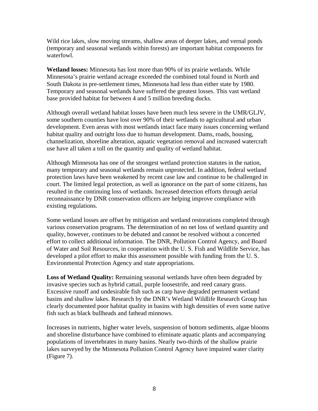Wild rice lakes, slow moving streams, shallow areas of deeper lakes, and vernal ponds (temporary and seasonal wetlands within forests) are important habitat components for waterfowl.

**Wetland losses:** Minnesota has lost more than 90% of its prairie wetlands. While Minnesota's prairie wetland acreage exceeded the combined total found in North and South Dakota in pre-settlement times, Minnesota had less than either state by 1980. Temporary and seasonal wetlands have suffered the greatest losses. This vast wetland base provided habitat for between 4 and 5 million breeding ducks.

Although overall wetland habitat losses have been much less severe in the UMR/GLJV, some southern counties have lost over 90% of their wetlands to agricultural and urban development. Even areas with most wetlands intact face many issues concerning wetland habitat quality and outright loss due to human development. Dams, roads, housing, channelization, shoreline alteration, aquatic vegetation removal and increased watercraft use have all taken a toll on the quantity and quality of wetland habitat.

Although Minnesota has one of the strongest wetland protection statutes in the nation, many temporary and seasonal wetlands remain unprotected. In addition, federal wetland protection laws have been weakened by recent case law and continue to be challenged in court. The limited legal protection, as well as ignorance on the part of some citizens, has resulted in the continuing loss of wetlands. Increased detection efforts through aerial reconnaissance by DNR conservation officers are helping improve compliance with existing regulations.

Some wetland losses are offset by mitigation and wetland restorations completed through various conservation programs. The determination of no net loss of wetland quantity and quality, however, continues to be debated and cannot be resolved without a concerted effort to collect additional information. The DNR, Pollution Control Agency, and Board of Water and Soil Resources, in cooperation with the U. S. Fish and Wildlife Service, has developed a pilot effort to make this assessment possible with funding from the U. S. Environmental Protection Agency and state appropriations.

**Loss of Wetland Quality:** Remaining seasonal wetlands have often been degraded by invasive species such as hybrid cattail, purple loosestrife, and reed canary grass. Excessive runoff and undesirable fish such as carp have degraded permanent wetland basins and shallow lakes. Research by the DNR's Wetland Wildlife Research Group has clearly documented poor habitat quality in basins with high densities of even some native fish such as black bullheads and fathead minnows.

Increases in nutrients, higher water levels, suspension of bottom sediments, algae blooms and shoreline disturbance have combined to eliminate aquatic plants and accompanying populations of invertebrates in many basins. Nearly two-thirds of the shallow prairie lakes surveyed by the Minnesota Pollution Control Agency have impaired water clarity (Figure 7).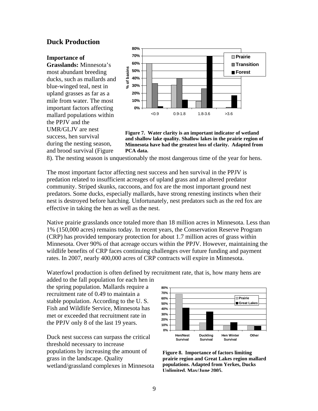### **Duck Production**

#### **Importance of**

**Grasslands:** Minnesota's most abundant breeding ducks, such as mallards a nd blue-winged teal, nest in upland grasses as far as a mile from water. The most important factors affecting mallard populations within the PPJV and the UMR/GLJV are nest success, hen survival during the nesting season, and brood survival (Figure



**Figure 7. Water clarity is an important indicator of wetland and shallow lake quality. Shallow lakes in the prairie region of Minnesota have had the greatest loss of clarity. Adapted from PCA data.**

8). The nesting season is u nquestionably the most dangerous time of the year for hens.

The most important factor affecting nest success and hen survival in the PPJV is community. Striped skunks, raccoons, and fox are the most important ground nest predators. Some ducks, especially mallards, have strong renesting instincts when their predation related to insufficient acreages of upland grass and an altered predator nest is destroyed before hatching. Unfortunately, nest predators such as the red fox are effective in taking the hen as well as the nest.

Native prairie grasslands once totaled more than 18 million acres in Minnesota. Less than Minnesota. Over 90% of that acreage occurs within the PPJV. However, maintaining the 1% (150,000 acres) remains today. In recent years, the Conservation Reserve Program (CRP) has provided temporary protection for about 1.7 million acres of grass within wildlife benefits of CRP faces continuing challenges over future funding and payment rates. In 2007, nearly 400,000 acres of CRP contracts will expire in Minnesota.

Waterfowl production is often defined by recruitment rate, that is, how many hens are

. stable population. According to the U. S Fish and Wildlife Service, Minnesota has added to the fall population for each hen in the spring population. Mallards require a recruitment rate of 0.49 to maintain a met or exceeded that recruitment rate in the PPJV only 8 of the last 19 years.

threshold necessary to increase populations by increasing the amount of **Figure 8. Importance of factors limiting** wetland/grassland complexes in Minnesota Duck nest success can surpass the critical grass in the landscape. Quality **prairie re**



**gion and Great Lakes region mallard populations. Adapted from Yerkes, Ducks Unlimited, May/June 2005.**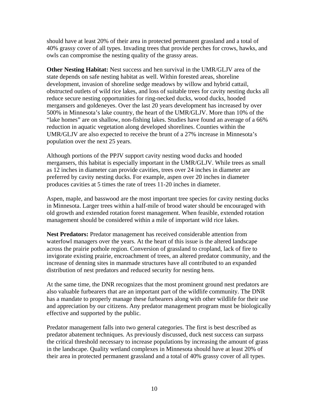should have at least 20% of their area in protected permanent grassland and a total of 40% grassy cover of all types. Invading trees that provide perches for crows, hawks, and owls can compromise the nesting quality of the grassy areas.

**Other Nesting Habitat:** Nest success and hen survival in the UMR/GLJV area of the state depends on safe nesting habitat as well. Within forested areas, shoreline obstructed outlets of wild rice lakes, and loss of suitable trees for cavity nesting ducks all 500% in Minnesota's lake country, the heart of the UMR/GLJV. More than 10% of the development, invasion of shoreline sedge meadows by willow and hybrid cattail, reduce secure nesting opportunities for ring-necked ducks, wood ducks, hooded mergansers and goldeneyes. Over the last 20 years development has increased by over "lake homes" are on shallow, non-fishing lakes. Studies have found an average of a 66% reduction in aquatic vegetation along developed shorelines. Counties within the UMR/GLJV are also expected to receive the brunt of a 27% increase in Minnesota's population over the next 25 years.

Although portions of the PPJV support cavity nesting wood ducks and hooded mergansers, this habitat is especially important in the UMR/GLJV. While trees as small as 12 inches in diameter can provide cavities, trees over 24 inches in diameter are preferred by cavity nesting ducks. For example, aspen over 20 inches in diameter produces cavities at 5 times the rate of trees 11-20 inches in diameter.

Aspen, maple, and basswood are the most important tree species for cavity nesting ducks Minnesota. Larger trees within a half-mile of brood water should be encouraged with in old growth and extended rotation forest management. When feasible, extended rotation management should be considered within a mile of important wild rice lakes.

waterfowl managers over the years. At the heart of this issue is the altered landscape across the prairie pothole region. Conversion of grassland to cropland, lack of fire to invigorate existing prairie, encroachment of trees, an altered predator community, and the **Nest Predators:** Predator management has received considerable attention from increase of denning sites in manmade structures have all contributed to an expanded distribution of nest predators and reduced security for nesting hens.

At the same time, the DNR recognizes that the most prominent ground nest predators are also valuable furbearers that are an important part of the wildlife community. The DNR and appreciation by our citizens. Any predator management program must be biologically has a mandate to properly manage these furbearers along with other wildlife for their use effective and supported by the public.

Predator management falls into two general categories. The first is best described as predator abatement techniques. As previously discussed, duck nest success can surpass the critical threshold necessary to increase populations by increasing the amount of grass in the landscape. Quality wetland complexes in Minnesota should have at least 20% of their area in protected permanent grassland and a total of 40% grassy cover of all types.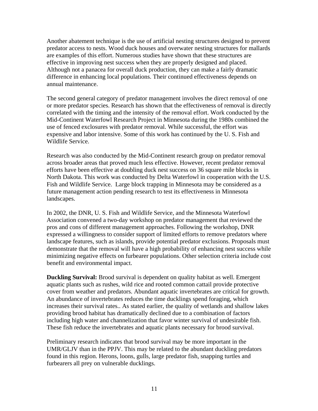Another abatement technique is the use of artificial nesting structures designed to preve nt predator access to nests. Wood duck houses and overwater nesting structures for mallards are examples of this effort. Numerous studies have shown that these structures are effective in improving nest success when they are properly designed and placed. Although not a panacea for overall duck production, they can make a fairly dramatic difference in enhancing local populations. Their continued effectiveness depends on annual maintenance.

The second general category of predator management involves the direct removal of one or more predator species. Research has shown that the effectiveness of removal is directly correlated with the timing and the intensity of the removal effort. Work conducted by the Mid-Continent Waterfowl Research Project in Minnesota during the 1980s combined the use of fenced exclosures with predator removal. While successful, the effort was expensive and labor intensive. Some of this work has continued by the U. S. Fish and Wildlife Service.

Research was also conducted by the Mid-Continent research group on predator removal across broader areas that proved much less effective. However, recent predator removal efforts have been effective at doubling duck nest success on 36 square mile blocks in . North Dakota. This work was conducted by Delta Waterfowl in cooperation with the U.S Fish and Wildlife Service. Large block trapping in Minnesota may be considered as a future management action pending research to test its effectiveness in Minnesota landscapes.

Association convened a two-day workshop on predator management that reviewed the pros and cons of different management approaches. Following the workshop, DNR expressed a willingness to consider support of limited efforts to remove predators where landscape features, such as islands, provide potential predator exclusions. Proposals must demonstrate that the removal will have a high probability of enhancing nest success while minimizing negative effects on furbearer populations. Other selection criteria include cost In 2002, the DNR, U. S. Fish and Wildlife Service, and the Minnesota Waterfowl benefit and environmental impact.

aquatic plants such as rushes, wild rice and rooted common cattail provide protective cover from weather and predators. Abundant aquatic invertebrates are critical for growth. including high water and channelization that favor winter survival of undesirable fish. **Duckling Survival:** Brood survival is dependent on quality habitat as well. Emergent An abundance of invertebrates reduces the time ducklings spend foraging, which increases their survival rates.. As stated earlier, the quality of wetlands and shallow lakes providing brood habitat has dramatically declined due to a combination of factors These fish reduce the invertebrates and aquatic plants necessary for brood survival.

UMR/GLJV than in the PPJV. This may be related to the abundant duckling predators found in this region. Herons, loons, gulls, large predator fish, snapping turtles and furbearers all prey on vulnerable ducklings. Preliminary research indicates that brood survival may be more important in the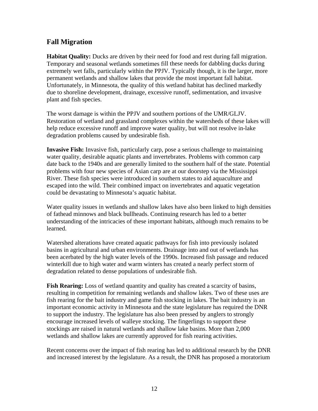## **Fall Migration**

Habitat Quality: Ducks are driven by their need for food and rest during fall migration. Temporary and seasonal wetlands sometimes f ill these needs for dabbling ducks during extremely wet falls, particularly within the PPJV. Typically though, it is the larger, more permanent wetlands and shallow lakes that provide the most important fall habitat. Unfortunately, in Minnesota, the quality of this wetland habitat has declined markedly due to shoreline development, drainage, excessive runoff, sedimentation, and invasive plant and fish species.

Restoration of wetland and grassland complexes within the watersheds of these lakes will degradation problems caused by undesirable fish. The worst damage is within the PPJV and southern portions of the UMR/GLJV. help reduce excessive runoff and improve water quality, but will not resolve in-lake

**Invasive Fish:** Invasive fish, particularly carp, pose a serious challenge to maintaining date back to the 1940s and are generally limited to the southern half of the state. Potential problems with four new species of Asian carp are at our doorstep via the Mississippi River. These fish species were introduced in southern states to aid aquaculture and water quality, desirable aquatic plants and invertebrates. Problems with common carp escaped into the wild. Their combined impact on invertebrates and aquatic vegetation could be devastating to Minnesota's aquatic habitat.

Water quality issues in wetlands and shallow lakes have also been linked to high densities understanding of the intricacies of these important habitats, although much remains to be of fathead minnows and black bullheads. Continuing research has led to a better learned.

basins in agricultural and urban environments. Drainage into and out of wetlands has winterkill due to high water and warm winters has created a nearly perfect storm of degradation related to dense populations of undesirable fish. Watershed alterations have created aquatic pathways for fish into previously isolated been acerbated by the high water levels of the 1990s. Increased fish passage and reduced

fish rearing for the bait industry and game fish stocking in lakes. The bait industry is an important economic activity in Minnesota and the state legislature has required the DNR to support the industry. The legislature has also been pressed by anglers to strongly **Fish Rearing:** Loss of wetland quantity and quality has created a scarcity of basins, resulting in competition for remaining wetlands and shallow lakes. Two of these uses are encourage increased levels of walleye stocking. The fingerlings to support these stockings are raised in natural wetlands and shallow lake basins. More than 2,000 wetlands and shallow lakes are currently approved for fish rearing activities.

Recent concerns over the impact of fish rearing has led to additional research by the DNR and increased interest by the legislature. As a result, the DNR has proposed a moratorium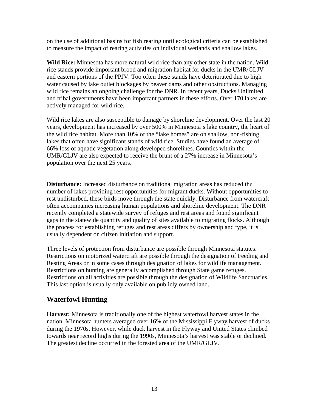on the use of additional basins for fish rearing until ecological criteria can be estab lished to measure the impact of rearing activities on individual wetlands and shallow lakes.

water caused by lake outlet blockages by beaver dams and other obstructions. Managing wild rice remains an ongoing challenge for the DNR. In recent years, Ducks Unlimited **Wild Rice:** Minnesota has more natural wild rice than any other state in the nation. Wild rice stands provide important brood and migration habitat for ducks in the UMR/GLJV and eastern portions of the PPJV. Too often these stands have deteriorated due to high and tribal governments have been important partners in these efforts. Over 170 lakes are actively managed for wild rice.

years, development has increased by over 500% in Minnesota's lake country, the heart of lakes that often have significant stands of wild rice. Studies have found an average of 6% loss of aquatic vegetation along developed shorelines. Counties within the 6 Wild rice lakes are also susceptible to damage by shoreline development. Over the last 20 the wild rice habitat. More than 10% of the "lake homes" are on shallow, non-fishing UMR/GLJV are also expected to receive the brunt of a 27% increase in Minnesota's population over the next 25 years.

Disturbance: Increased disturbance on traditional migration areas has reduced the number of lakes providing rest opportunities for migrant ducks. Without opportunities to rest undisturbed, these birds move through the state quickly. Disturbance from watercraft often accompanies increasing human populations and shoreline development. The DNR recently completed a statewide survey of refuges and rest areas and found significant gaps in the statewide quantity and quality of sites available to migrating flocks. Although the process for establishing refuges and rest areas differs by ownership and type, it is usually dependent on citizen initiation and support.

Restrictions on hunting are generally accomplished through State game refuges. Restrictions on all activities are possible through the designation of Wildlife Sanctuaries. Three levels of protection from disturbance are possible through Minnesota statutes. Restrictions on motorized watercraft are possible through the designation of Feeding and Resting Areas or in some cases through designation of lakes for wildlife management. This last option is usually only available on publicly owned land.

## **Waterfowl Hunting**

nation. Minnesota hunters averaged over 16% of the Mississippi Flyway harvest of ducks during the 1970s. However, while duck harvest in the Flyway and United States climbed towards near record highs during the 1990s, Minnesota's harvest was stable or declined. The greatest decline occurred in the forested area of the UMR/GLJV. **Harvest:** Minnesota is traditionally one of the highest waterfowl harvest states in the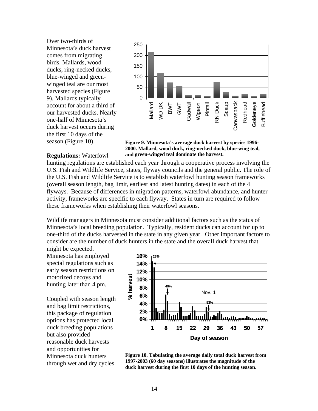Over two-thirds of Minnesota's duck harvest comes from migrating birds. Mallards, wood ducks, ring-necked ducks, blue-winged and greenwinged teal ar e our most harvested species (Figure 9). Mallards typically our harvested ducks. Nearly one-half of Minnesota's account for about a third of duck harvest occurs during the first 10 days of the season (Figure 10).



**Figure 9. Minnesota's average duck harvest by species 1996- 2000. Mallard, wood duck, ring-necked duck, blue-wing teal, and green-winged teal dominate the harvest.** 

#### **Regulations:** Waterfowl

hunting regulations are established each year through a cooperative process involving the the U.S. Fish and Wildlife Service is to establish waterfowl hunting season frameworks (overall season length, bag limit, earliest and latest hunting dates) in each of the 4 flyways. Because of differences in migration patterns, waterfowl abundance, and hunter U.S. Fish and Wildlife Service, states, flyway councils and the general public. The role of activity, frameworks are specific to each flyway. States in turn are required to follow these frameworks when establishing their waterfowl seasons.

one-third of the ducks harvested in the state in any given year. Other important factors to consider are the number of duck hunters in the state and the overall duck harvest that might be expected. Wildlife managers in Minnesota must consider additional factors such as the status of Minnesota's local breeding population. Typically, resident ducks can account for up to

Minnesota has employed special regulations such as early season restrictions on motorized decoys and hunting later than 4 pm.

Coupled with season length options has protected local through wet and dry cycles and bag limit restrictions, this package of regulation duck breeding populations but also provided reasonable duck harvests and opportunities for Minnesota duck hunters



**Figure 10. Tabulating the average daily total duck harvest from 1997-2003 (60 day seasons) illustrates the magnitude of the duck harvest during the first 10 days of the hunting season.**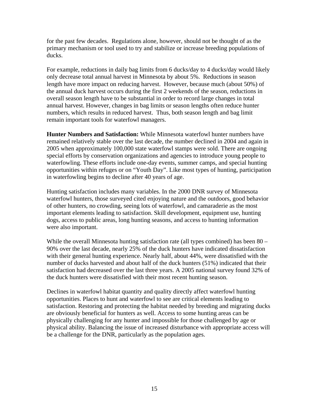for the past few decades. Regulations alone, however, should not be thought of as the primary mechanism or tool used to try and stabilize or increase breeding populations of ucks. d

length have more impact on reducing harvest. However, because much (about 50%) of overall season length have to be substantial in order to record large changes in total For example, reductions in daily bag limits from 6 ducks/day to 4 ducks/day would likely only decrease total annual harvest in Minnesota by about 5%. Reductions in season the annual duck harvest occurs during the first 2 weekends of the season, reductions in annual harvest. However, changes in bag limits or season lengths often reduce hunter numbers, which results in reduced harvest. Thus, both season length and bag limit remain important tools for waterfowl managers.

Hunter Numbers and Satisfaction: While Minnesota waterfowl hunter numbers have remained relatively stable over the last decade, the number declined in 2004 and again in 2005 when approximately 100,000 state waterfowl stamps were sold. There are ongoing special efforts by conservation organizations and agencies to introduce young people to waterfowling. These efforts include one-day events, summer camps, and special hunting opportunities within refuges or on "Youth Day". Like most types of hunting, participation in waterfowling begins to decline after 40 years of age.

important elements leading to satisfaction. Skill development, equipment use, hunting dogs, access to public areas, long hunting seasons, and access to hunting information Hunting satisfaction includes many variables. In the 2000 DNR survey of Minnesota waterfowl hunters, those surveyed cited enjoying nature and the outdoors, good behavior of other hunters, no crowding, seeing lots of waterfowl, and camaraderie as the most were also important.

While the overall Minnesota hunting satisfaction rate (all types combined) has been  $80$ with their general hunting experience. Nearly half, about 44%, were dissatisfied with the number of ducks harvested and about half of the duck hunters (51%) indicated that their satisfaction had decreased over the last three years. A 2005 national survey found 32% of 90% over the last decade, nearly 25% of the duck hunters have indicated dissatisfaction the duck hunters were dissatisfied with their most recent hunting season.

are obviously beneficial for hunters as well. Access to some hunting areas can be hysically challenging for any hunter and impossible for those challenged by age or p physical ability. Balancing the issue of increased disturbance with appropriate access will Declines in waterfowl habitat quantity and quality directly affect waterfowl hunting opportunities. Places to hunt and waterfowl to see are critical elements leading to satisfaction. Restoring and protecting the habitat needed by breeding and migrating ducks be a challenge for the DNR, particularly as the population ages.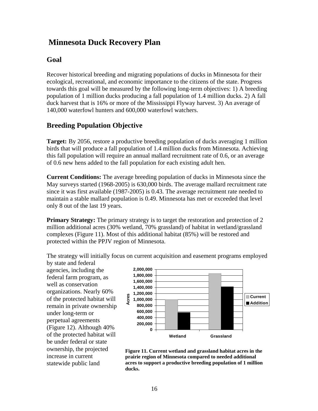## **Minnesota Duck Recovery Plan**

## **Goal**

Recover historical breeding and migrating populations of ducks in Minnesota for their ecological, recreational, and economic importance to the citizens of the state. Progress towards this goal will be measured by the following long-term objectives: 1) A breeding population of 1 million ducks producing a fall population of 1.4 million ducks. 2) A fall duck harvest that is 16% or more of the Mississippi Flyway harvest. 3) An average of 140,000 waterfowl hunters and 600,000 waterfowl watchers.

## **Breeding Population Objective**

**Target:** By 2056, restore a productive breeding population of ducks averaging 1 million birds that will produce a fall population of 1.4 million ducks from Minnesota. Achieving this fall population will require an annual mallard recruitment rate of 0.6, or an average of 0.6 new hens added to the fall population for each existing adult hen.

**Current Conditions:** The average breeding population of ducks in Minnesota since the May surveys started (1968-2005) is 630,000 birds. The average mallard recruitment rate since it was first available (1987-2005) is 0.43. The average recruitment rate needed to maintain a stable mallard population is 0.49. Minnesota has met or exceeded that level only 8 out of the last 19 years.

**Primary Strategy:** The primary strategy is to target the restoration and protection of 2 million additional acres (30% wetland, 70% grassland) of habitat in wetland/grassland complexes (Figure 11). Most of this additional habitat (85%) will be restored and protected within the PPJV region of Minnesota.

The strategy will initially focus on current acquisition and easement programs employed by state and federal

agencies, including the federal farm program, as well as conservation organizations. Nearly 60% of the protected habitat will remain in private ownership under long-term or perpetual agreements (Figure 12). Although 40% of the protected habitat will be under federal or state ownership, the projected increase in current statewide public land



**Figure 11. Current wetland and grassland habitat acres in the prairie region of Minnesota compared to needed additional acres to support a productive breeding population of 1 million ducks.**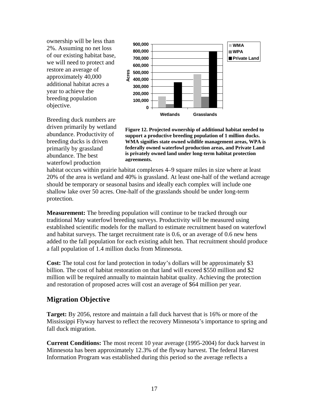ownership will be less than 2%. Assuming no net loss of our e xisting habitat base, we will need to protect and restore an average of approximately 40,000 additional habitat acres a year to achieve the breeding population objective.



abundance. Productivity of Breeding duck numbers are driven primarily by wetland breeding ducks is driven primarily by grassland abundance. The best waterfowl production



habitat occurs within prairie habitat complexes 4–9 square miles in size where at least 20% of the area is wetland and 40% is grassland. At least one-half of the wetland acreage should be temporary or seasonal basins and ideally each complex will include one shallow lake over 50 acres. One-half of the grasslands should be under long-term protection.

**Measurement:** The breeding population will continue to be tracked through our established scientific models for the mallard to estimate recruitment based on waterfowl and habitat surveys. The target recruitment rate is 0.6, or an average of 0.6 new hens added to the fall population for each existing adult hen. That recruitment should produce a fall population of 1.4 million ducks from Minnesota. traditional May waterfowl breeding surveys. Productivity will be measured using

**Cost:** The total cost for land protection in today's dollars will be approximately \$3 billion. The cost of habitat restoration on that land will exceed \$550 million and \$2 million will be required annually to maintain habitat quality. Achieving the protection and restoration of proposed acres will cost an average of \$64 million per year.

## **Migration Objective**

Target: By 2056, restore and maintain a fall duck harvest that is 16% or more of the Mississippi Flyway harvest to reflect the recovery Minnesota's importance to spring and fall duck migration.

**Current Conditions:** The most recent 10 year average (1995-2004) for duck harvest in Minnesota has been approximately 12.3% of the flyway harvest. The federal Harvest Information Program was established during this period so the average reflects a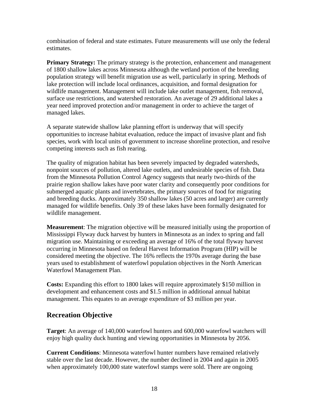combination of federal and s tate estimates. Future measurements will use only the federal estimates.

Primary Strategy: The primary strategy is the protection, enhancement and management of 1800 shallow lakes across Minnesota although the wetland portion of the breeding population strategy wil l benefit migration use as well, particularly in spring. Methods of lake protection will includ e local ordinances, acquisition, and formal designation for wildlife management. Management will include lake outlet management, fish removal, surface use restriction s, and watershed restoration. An average of 29 additional lakes a year need i mproved protection and/or management in order to achieve the target of managed lakes.

A separate statewide shallow lake planning effort is underway that will specify opportunities to increase habitat evaluation, reduce the impact of invasive plant and fish species, work with local units of government to increase shoreline protection, and resolve competing interests such as fish rearing.

The quality of migration habitat has been severely impacted by degraded watersheds, prairie region shallow lakes have poor water clarity and consequently poor conditions for and breeding ducks. Approximately 350 shallow lakes (50 acres and larger) are currently managed for wildlife benefits. Only 39 of these lakes have been formally designated for nonpoint sources of pollution, altered lake outlets, and undesirable species of fish. Data from the Minnesota Pollution Control Agency suggests that nearly two-thirds of the submerged aquatic plants and invertebrates, the primary sources of food for migrating wildlife management.

Mississippi Flyway duck harvest by hunters in Minnesota as an index to spring and fall occurring in Minnesota based on federal Harvest Information Program (HIP) will be considered meeting the objective. The 16% reflects the 1970s average during the base years used to establishment of waterfowl population objectives in the North American **Measurement**: The migration objective will be measured initially using the proportion of migration use. Maintaining or exceeding an average of 16% of the total flyway harvest Waterfowl Management Plan.

**Costs:** Expanding this effort to 1800 lakes will require approximately \$150 million in development and enhancement costs and \$1.5 million in additional annual habitat management. This equates to an average expenditure of \$3 million per year.

## **Recreation Objective**

Target: An average of 140,000 waterfowl hunters and 600,000 waterfowl watchers will enjoy high quality duck hunting and viewing opportunities in Minnesota by 2056.

stable over the last decade. However, the number declined in 2004 and again in 2005 when approximately 100,000 state waterfowl stamps were sold. There are ongoing **Current Conditions**: Minnesota waterfowl hunter numbers have remained relatively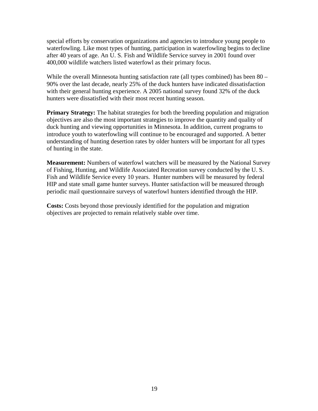special efforts by conservation organizations and agencies to introduce young people to waterfowling. Like most types of hunting, participation in waterfowling begins to decline after 40 years of age. An U. S. Fish and Wildlife Service survey in 2001 found over 400,000 wildlife watchers listed waterfowl as their primary focus.

90% over the last decade, nearly 25% of the duck hunters have indicated dissatisfaction While the overall Minnesota hunting satisfaction rate (all types combined) has been 80 – with their general hunting experience. A 2005 national survey found 32% of the duck hunters were dissatisfied with their most recent hunting season.

Primary Strategy: The habitat strategies for both the breeding population and migration objectives are also the most important strategies to improve the quantity and quality of duck hunting and viewing opportunities in Minnesota. In addition, current programs to introduce youth to waterfowling will continue to be encouraged and supported. A better understanding of hunting desertion rates by older hunters will be important for all types of hunting in the state.

Measurement: Numbers of waterfowl watchers will be measured by the National Survey Fish and Wildlife Service every 10 years. Hunter numbers will be measured by federal of Fishing, Hunting, and Wildlife Associated Recreation survey conducted by the U. S. HIP and state small game hunter surveys. Hunter satisfaction will be measured through periodic mail questionnaire surveys of waterfowl hunters identified through the HIP.

objectives are projected to remain relatively stable over time. **Costs:** Costs beyond those previously identified for the population and migration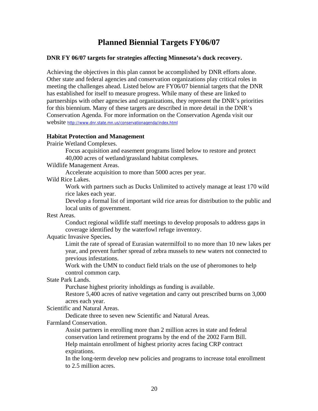## **Planned Biennial Targets FY06/07**

#### **DNR FY 06/07 targets for strategies affecting Minnesota's duck recovery.**

Achieving the objectives in this plan cannot be accomplished by DNR efforts alone. Other state and federal agencies and conservation organizations play critical roles in meeting the challenges ahead. Listed below are FY06/07 biennial targets that the DNR has established for itself to measure progress. While many of these are linked to partnerships with other agencies and organizations, they represent the DNR's priorities for this biennium. Many of these targets are described in more detail in the DNR's Conservation Agenda. For more information on the Conservation Agenda visit our website http://www.dnr.state.mn.us/conservationagenda/index.html

#### **Habitat Protection and Management**

Prairie Wetland Complexes.

Focus acquisition and easement programs listed below to restore and protect 40,000 acres of wetland/grassland habitat complexes.

Wildlife Management Areas.

Accelerate acquisition to more than 5000 acres per year.

Wild Rice Lakes.

Work with partners such as Ducks Unlimited to actively manage at least 170 wild rice lakes each year.

Develop a formal list of important wild rice areas for distribution to the public and local units of government.

Rest Areas.

Conduct regional wildlife staff meetings to develop proposals to address gaps in coverage identified by the waterfowl refuge inventory.

Aquatic Invasive Species**.** 

Limit the rate of spread of Eurasian watermilfoil to no more than 10 new lakes per year, and prevent further spread of zebra mussels to new waters not connected to previous infestations.

Work with the UMN to conduct field trials on the use of pheromones to help control common carp.

State Park Lands.

Purchase highest priority inholdings as funding is available.

Restore 5,400 acres of native vegetation and carry out prescribed burns on 3,000 acres each year.

Scientific and Natural Areas.

Dedicate three to seven new Scientific and Natural Areas.

Farmland Conservation.

Assist partners in enrolling more than 2 million acres in state and federal conservation land retirement programs by the end of the 2002 Farm Bill. Help maintain enrollment of highest priority acres facing CRP contract expirations.

In the long-term develop new policies and programs to increase total enrollment to 2.5 million acres.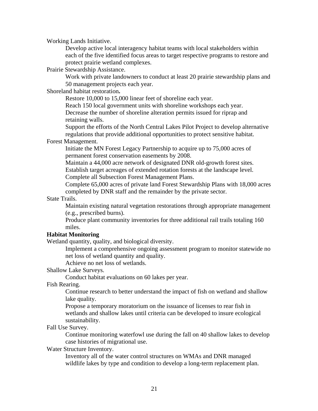Working Lands Initi ative.

Develop active loca l interagency habitat teams with local stakeholders within each of the five identified focus areas to target respective programs to restore and protect prairie wetland complexes.

Prairie Stewardship Assistance.

Work with private landowners to conduct at least 20 prairie stewardship plans and 50 management projects each year.

Shoreland habitat restoration**.** 

Restore 10,000 to 15,000 linear feet of shoreline each year.

Reach 150 local government units with shoreline workshops each year. Decrease the number of shoreline alteration permits issued for riprap and retaining walls.

Support the efforts of the North Central Lakes Pilot Project to develop alternative regulations that provide additional opportunities to protect sensitive habitat.

#### Forest Management.

Initiate the MN Forest Legacy Partnership to acquire up to 75,000 acres of permanent forest conservation easements by 2008.

Establish target acreages of extended rotation forests at the landscape level. Maintain a 44,000 acre network of designated DNR old-growth forest sites. Complete all Subsection Forest Management Plans.

Complete 65,000 acres of private land Forest Stewardship Plans with 18,000 acres completed by DNR staff and the remainder by the private sector.

#### State T rails.

Maintain existing natural vegetation restorations through appropriate management (e.g., prescribed burns).

Produce plant community inventories for three additional rail trails totaling 160 miles.

#### **Habitat Monitoring**

Wetland quantity, quality, and biological diversity.

Implement a comprehensive ongoing assessment program to monitor statewide no net loss of wetland quantity and quality.

Achieve no net loss of wetlands.

Shallow Lake Surveys.

Conduct habitat evaluations on 60 lakes per year.

Fish Rearing.

Continue research to better understand the impact of fish on wetland and shallow lake quality.

Propose a temporary moratorium on the issuance of licenses to rear fish in wetlands and shallow lakes until criteria can be developed to insure ecological sustainability.

Fall Use Survey.

Continue monitoring waterfowl use during the fall on 40 shallow lakes to develop case histories of migrational use.

Water Structure Inventory.

Inventory all of the water control structures on WMAs and DNR managed wildlife lakes by type and condition to develop a long-term replacement plan.